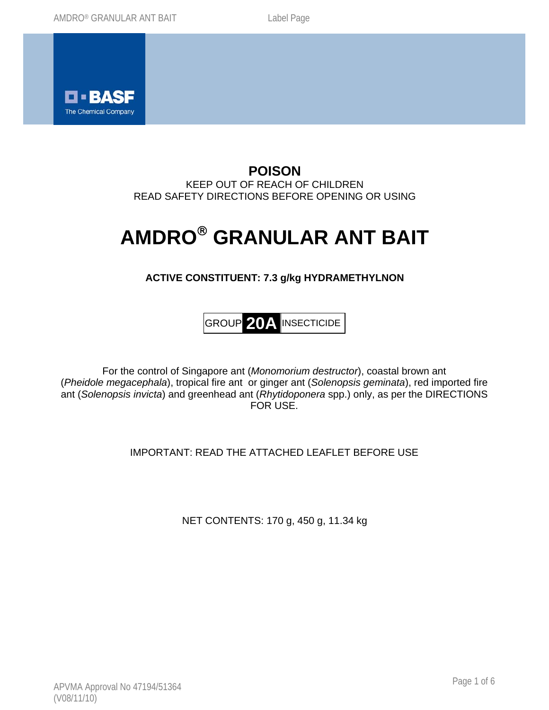

## **POISON**  KEEP OUT OF REACH OF CHILDREN READ SAFETY DIRECTIONS BEFORE OPENING OR USING

# **AMDRO**® **GRANULAR ANT BAIT**

# **ACTIVE CONSTITUENT: 7.3 g/kg HYDRAMETHYLNON**

GROUP **20A** INSECTICIDE

For the control of Singapore ant (*Monomorium destructor*), coastal brown ant (*Pheidole megacephala*), tropical fire ant or ginger ant (*Solenopsis geminata*), red imported fire ant (*Solenopsis invicta*) and greenhead ant (*Rhytidoponera* spp.) only, as per the DIRECTIONS FOR USE.

IMPORTANT: READ THE ATTACHED LEAFLET BEFORE USE

NET CONTENTS: 170 g, 450 g, 11.34 kg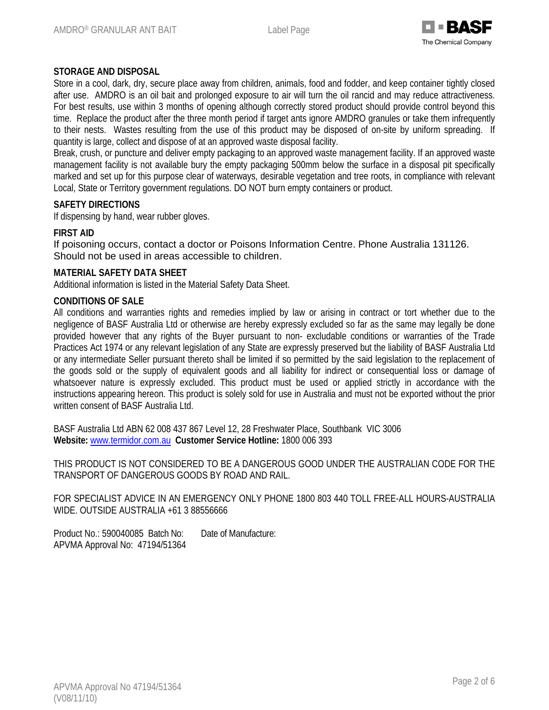

## **STORAGE AND DISPOSAL**

Store in a cool, dark, dry, secure place away from children, animals, food and fodder, and keep container tightly closed after use. AMDRO is an oil bait and prolonged exposure to air will turn the oil rancid and may reduce attractiveness. For best results, use within 3 months of opening although correctly stored product should provide control beyond this time. Replace the product after the three month period if target ants ignore AMDRO granules or take them infrequently to their nests. Wastes resulting from the use of this product may be disposed of on-site by uniform spreading. If quantity is large, collect and dispose of at an approved waste disposal facility.

Break, crush, or puncture and deliver empty packaging to an approved waste management facility. If an approved waste management facility is not available bury the empty packaging 500mm below the surface in a disposal pit specifically marked and set up for this purpose clear of waterways, desirable vegetation and tree roots, in compliance with relevant Local, State or Territory government regulations. DO NOT burn empty containers or product.

#### **SAFETY DIRECTIONS**

If dispensing by hand, wear rubber gloves.

#### **FIRST AID**

If poisoning occurs, contact a doctor or Poisons Information Centre. Phone Australia 131126. Should not be used in areas accessible to children.

#### **MATERIAL SAFETY DATA SHEET**

Additional information is listed in the Material Safety Data Sheet.

#### **CONDITIONS OF SALE**

All conditions and warranties rights and remedies implied by law or arising in contract or tort whether due to the negligence of BASF Australia Ltd or otherwise are hereby expressly excluded so far as the same may legally be done provided however that any rights of the Buyer pursuant to non- excludable conditions or warranties of the Trade Practices Act 1974 or any relevant legislation of any State are expressly preserved but the liability of BASF Australia Ltd or any intermediate Seller pursuant thereto shall be limited if so permitted by the said legislation to the replacement of the goods sold or the supply of equivalent goods and all liability for indirect or consequential loss or damage of whatsoever nature is expressly excluded. This product must be used or applied strictly in accordance with the instructions appearing hereon. This product is solely sold for use in Australia and must not be exported without the prior written consent of BASF Australia Ltd.

BASF Australia Ltd ABN 62 008 437 867 Level 12, 28 Freshwater Place, Southbank VIC 3006 **Website:** www.termidor.com.au **Customer Service Hotline:** 1800 006 393

THIS PRODUCT IS NOT CONSIDERED TO BE A DANGEROUS GOOD UNDER THE AUSTRALIAN CODE FOR THE TRANSPORT OF DANGEROUS GOODS BY ROAD AND RAIL.

FOR SPECIALIST ADVICE IN AN EMERGENCY ONLY PHONE 1800 803 440 TOLL FREE-ALL HOURS-AUSTRALIA WIDE. OUTSIDE AUSTRALIA +61 3 88556666

Product No.: 590040085 Batch No: Date of Manufacture: APVMA Approval No: 47194/51364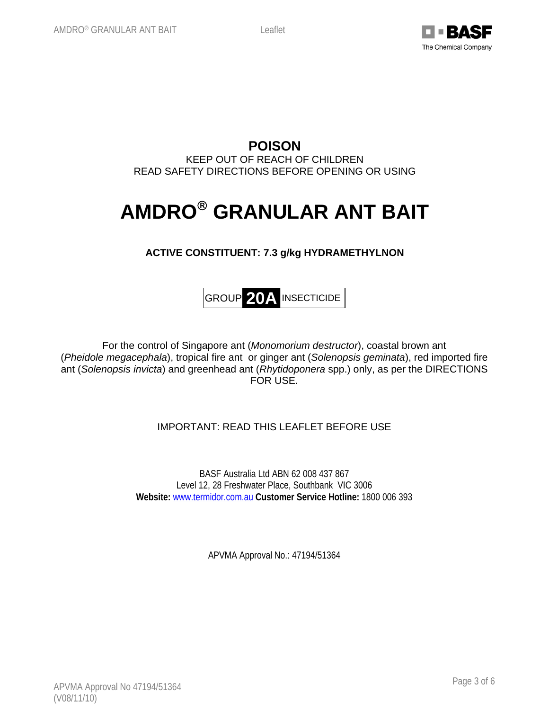

**POISON**  KEEP OUT OF REACH OF CHILDREN READ SAFETY DIRECTIONS BEFORE OPENING OR USING

# **AMDRO**® **GRANULAR ANT BAIT**

## **ACTIVE CONSTITUENT: 7.3 g/kg HYDRAMETHYLNON**



For the control of Singapore ant (*Monomorium destructor*), coastal brown ant (*Pheidole megacephala*), tropical fire ant or ginger ant (*Solenopsis geminata*), red imported fire ant (*Solenopsis invicta*) and greenhead ant (*Rhytidoponera* spp.) only, as per the DIRECTIONS FOR USE.

## IMPORTANT: READ THIS LEAFLET BEFORE USE

BASF Australia Ltd ABN 62 008 437 867 Level 12, 28 Freshwater Place, Southbank VIC 3006 **Website:** www.termidor.com.au **Customer Service Hotline:** 1800 006 393

APVMA Approval No.: 47194/51364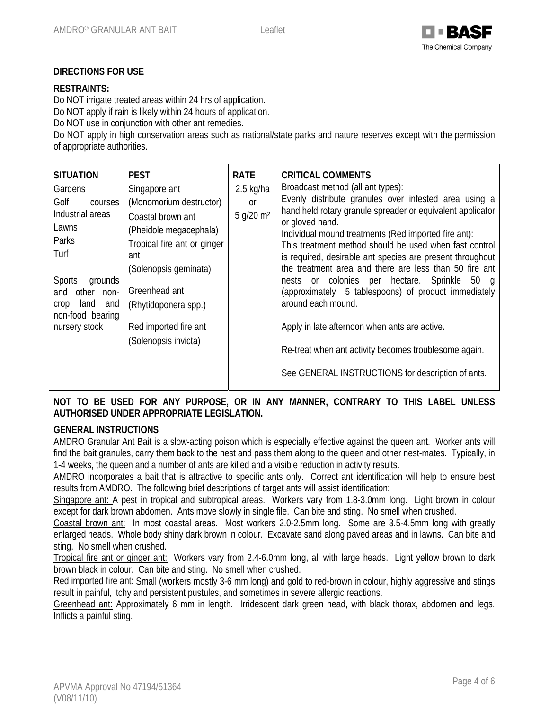

#### **DIRECTIONS FOR USE**

### **RESTRAINTS:**

Do NOT irrigate treated areas within 24 hrs of application.

Do NOT apply if rain is likely within 24 hours of application.

Do NOT use in conjunction with other ant remedies.

Do NOT apply in high conservation areas such as national/state parks and nature reserves except with the permission of appropriate authorities.

| <b>SITUATION</b>                                                                                                                                                                           | <b>PEST</b>                                                                                                                                                                                                                                      | <b>RATE</b>                                | <b>CRITICAL COMMENTS</b>                                                                                                                                                                                                                                                                                                                                                                                                                                                                                                                                                                                                                                                                                                  |
|--------------------------------------------------------------------------------------------------------------------------------------------------------------------------------------------|--------------------------------------------------------------------------------------------------------------------------------------------------------------------------------------------------------------------------------------------------|--------------------------------------------|---------------------------------------------------------------------------------------------------------------------------------------------------------------------------------------------------------------------------------------------------------------------------------------------------------------------------------------------------------------------------------------------------------------------------------------------------------------------------------------------------------------------------------------------------------------------------------------------------------------------------------------------------------------------------------------------------------------------------|
| Gardens<br>Golf<br>courses<br>Industrial areas<br>Lawns<br>Parks<br>Turf<br><b>Sports</b><br>grounds<br>other<br>$non-$<br>and<br>land<br>and<br>crop<br>non-food bearing<br>nursery stock | Singapore ant<br>(Monomorium destructor)<br>Coastal brown ant<br>(Pheidole megacephala)<br>Tropical fire ant or ginger<br>ant<br>(Solenopsis geminata)<br>Greenhead ant<br>(Rhytidoponera spp.)<br>Red imported fire ant<br>(Solenopsis invicta) | $2.5$ kg/ha<br>or<br>5 q/20 m <sup>2</sup> | Broadcast method (all ant types):<br>Evenly distribute granules over infested area using a<br>hand held rotary granule spreader or equivalent applicator<br>or gloved hand.<br>Individual mound treatments (Red imported fire ant):<br>This treatment method should be used when fast control<br>is required, desirable ant species are present throughout<br>the treatment area and there are less than 50 fire ant<br>nests or colonies per hectare. Sprinkle<br>50<br>- a<br>(approximately 5 tablespoons) of product immediately<br>around each mound.<br>Apply in late afternoon when ants are active.<br>Re-treat when ant activity becomes troublesome again.<br>See GENERAL INSTRUCTIONS for description of ants. |

## **NOT TO BE USED FOR ANY PURPOSE, OR IN ANY MANNER, CONTRARY TO THIS LABEL UNLESS AUTHORISED UNDER APPROPRIATE LEGISLATION.**

#### **GENERAL INSTRUCTIONS**

AMDRO Granular Ant Bait is a slow-acting poison which is especially effective against the queen ant. Worker ants will find the bait granules, carry them back to the nest and pass them along to the queen and other nest-mates. Typically, in 1-4 weeks, the queen and a number of ants are killed and a visible reduction in activity results.

AMDRO incorporates a bait that is attractive to specific ants only. Correct ant identification will help to ensure best results from AMDRO. The following brief descriptions of target ants will assist identification:

Singapore ant: A pest in tropical and subtropical areas. Workers vary from 1.8-3.0mm long. Light brown in colour except for dark brown abdomen. Ants move slowly in single file. Can bite and sting. No smell when crushed.

Coastal brown ant: In most coastal areas. Most workers 2.0-2.5mm long. Some are 3.5-4.5mm long with greatly enlarged heads. Whole body shiny dark brown in colour. Excavate sand along paved areas and in lawns. Can bite and sting. No smell when crushed.

Tropical fire ant or ginger ant: Workers vary from 2.4-6.0mm long, all with large heads. Light yellow brown to dark brown black in colour. Can bite and sting. No smell when crushed.

Red imported fire ant: Small (workers mostly 3-6 mm long) and gold to red-brown in colour, highly aggressive and stings result in painful, itchy and persistent pustules, and sometimes in severe allergic reactions.

Greenhead ant: Approximately 6 mm in length. Irridescent dark green head, with black thorax, abdomen and legs. Inflicts a painful sting.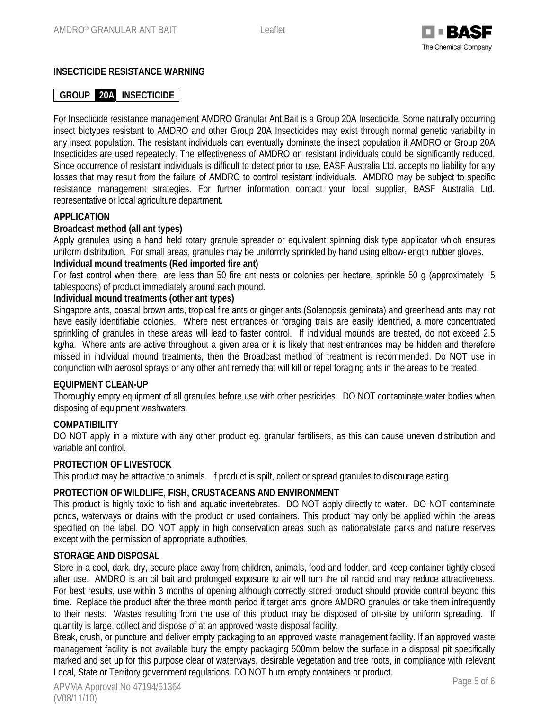

## **INSECTICIDE RESISTANCE WARNING**

## **GROUP 20A INSECTICIDE**

For Insecticide resistance management AMDRO Granular Ant Bait is a Group 20A Insecticide. Some naturally occurring insect biotypes resistant to AMDRO and other Group 20A Insecticides may exist through normal genetic variability in any insect population. The resistant individuals can eventually dominate the insect population if AMDRO or Group 20A Insecticides are used repeatedly. The effectiveness of AMDRO on resistant individuals could be significantly reduced. Since occurrence of resistant individuals is difficult to detect prior to use, BASF Australia Ltd. accepts no liability for any losses that may result from the failure of AMDRO to control resistant individuals. AMDRO may be subject to specific resistance management strategies. For further information contact your local supplier, BASF Australia Ltd. representative or local agriculture department.

#### **APPLICATION**

#### **Broadcast method (all ant types)**

Apply granules using a hand held rotary granule spreader or equivalent spinning disk type applicator which ensures uniform distribution. For small areas, granules may be uniformly sprinkled by hand using elbow-length rubber gloves.

#### **Individual mound treatments (Red imported fire ant)**

For fast control when there are less than 50 fire ant nests or colonies per hectare, sprinkle 50 g (approximately 5 tablespoons) of product immediately around each mound.

#### **Individual mound treatments (other ant types)**

Singapore ants, coastal brown ants, tropical fire ants or ginger ants (Solenopsis geminata) and greenhead ants may not have easily identifiable colonies. Where nest entrances or foraging trails are easily identified, a more concentrated sprinkling of granules in these areas will lead to faster control. If individual mounds are treated, do not exceed 2.5 kg/ha. Where ants are active throughout a given area or it is likely that nest entrances may be hidden and therefore missed in individual mound treatments, then the Broadcast method of treatment is recommended. Do NOT use in conjunction with aerosol sprays or any other ant remedy that will kill or repel foraging ants in the areas to be treated.

#### **EQUIPMENT CLEAN-UP**

Thoroughly empty equipment of all granules before use with other pesticides. DO NOT contaminate water bodies when disposing of equipment washwaters.

#### **COMPATIBILITY**

DO NOT apply in a mixture with any other product eg. granular fertilisers, as this can cause uneven distribution and variable ant control.

#### **PROTECTION OF LIVESTOCK**

This product may be attractive to animals. If product is spilt, collect or spread granules to discourage eating.

#### **PROTECTION OF WILDLIFE, FISH, CRUSTACEANS AND ENVIRONMENT**

This product is highly toxic to fish and aquatic invertebrates. DO NOT apply directly to water. DO NOT contaminate ponds, waterways or drains with the product or used containers. This product may only be applied within the areas specified on the label. DO NOT apply in high conservation areas such as national/state parks and nature reserves except with the permission of appropriate authorities.

#### **STORAGE AND DISPOSAL**

Store in a cool, dark, dry, secure place away from children, animals, food and fodder, and keep container tightly closed after use. AMDRO is an oil bait and prolonged exposure to air will turn the oil rancid and may reduce attractiveness. For best results, use within 3 months of opening although correctly stored product should provide control beyond this time. Replace the product after the three month period if target ants ignore AMDRO granules or take them infrequently to their nests. Wastes resulting from the use of this product may be disposed of on-site by uniform spreading. If quantity is large, collect and dispose of at an approved waste disposal facility.

Break, crush, or puncture and deliver empty packaging to an approved waste management facility. If an approved waste management facility is not available bury the empty packaging 500mm below the surface in a disposal pit specifically marked and set up for this purpose clear of waterways, desirable vegetation and tree roots, in compliance with relevant Local, State or Territory government regulations. DO NOT burn empty containers or product.